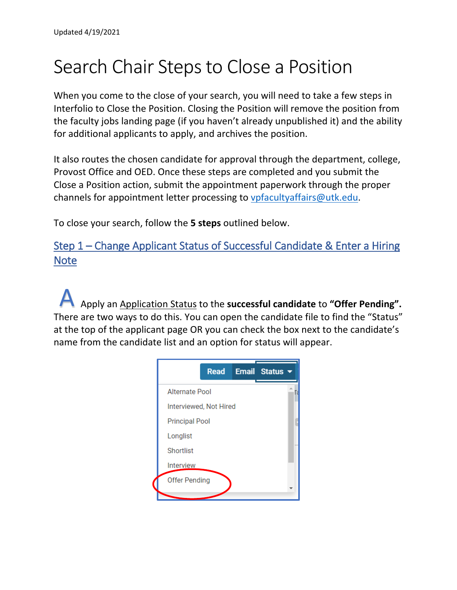# Search Chair Steps to Close a Position

When you come to the close of your search, you will need to take a few steps in Interfolio to Close the Position. Closing the Position will remove the position from the faculty jobs landing page (if you haven't already unpublished it) and the ability for additional applicants to apply, and archives the position.

It also routes the chosen candidate for approval through the department, college, Provost Office and OED. Once these steps are completed and you submit the Close a Position action, submit the appointment paperwork through the proper channels for appointment letter processing to [vpfacultyaffairs@utk.edu.](mailto:vpfacultyaffairs@utk.edu)

To close your search, follow the **5 steps** outlined below.

Step 1 – Change Applicant Status of Successful Candidate & Enter a Hiring **Note** 

Apply an Application Status to the **successful candidate** to **"Offer Pending".**  There are two ways to do this. You can open the candidate file to find the "Status" at the top of the applicant page OR you can check the box next to the candidate's name from the candidate list and an option for status will appear. A

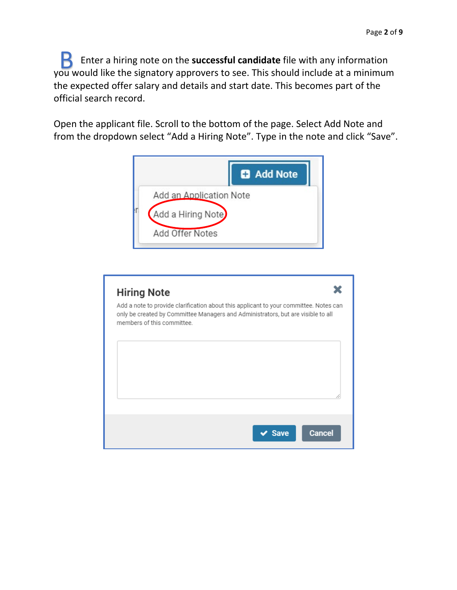Enter a hiring note on the **successful candidate** file with any information you would like the signatory approvers to see. This should include at a minimum the expected offer salary and details and start date. This becomes part of the official search record. B

Open the applicant file. Scroll to the bottom of the page. Select Add Note and from the dropdown select "Add a Hiring Note". Type in the note and click "Save".



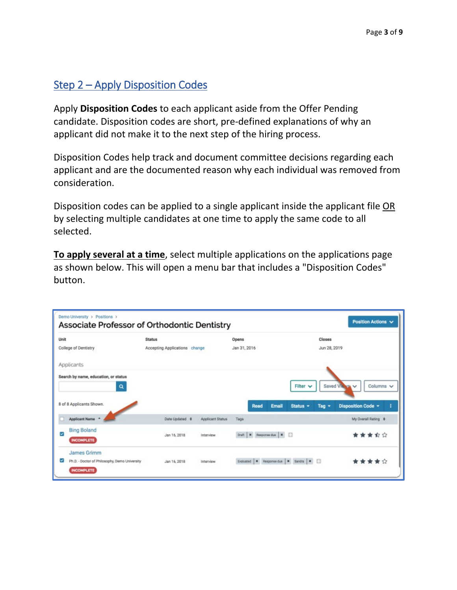### Step 2 – Apply Disposition Codes

Apply **Disposition Codes** to each applicant aside from the Offer Pending candidate. Disposition codes are short, pre-defined explanations of why an applicant did not make it to the next step of the hiring process.

Disposition Codes help track and document committee decisions regarding each applicant and are the documented reason why each individual was removed from consideration.

Disposition codes can be applied to a single applicant inside the applicant file OR by selecting multiple candidates at one time to apply the same code to all selected.

**To apply several at a time**, select multiple applications on the applications page as shown below. This will open a menu bar that includes a "Disposition Codes" button.

|      | Demo University > Positions ><br>Associate Professor of Orthodontic Dentistry     |                               |                  |                                           |                                      | Position Actions V                                     |
|------|-----------------------------------------------------------------------------------|-------------------------------|------------------|-------------------------------------------|--------------------------------------|--------------------------------------------------------|
| Unit |                                                                                   | <b>Status</b>                 |                  | Opens                                     | Closes                               |                                                        |
|      | College of Dentistry                                                              | Accepting Applications change |                  | Jan 31, 2016                              | Jun 28, 2019                         |                                                        |
|      | Applicants                                                                        |                               |                  |                                           |                                      |                                                        |
|      | Search by name, education, or status<br>a<br>8 of 8 Applicants Shown.             |                               |                  | Email<br>Read                             | Filter $\vee$<br>Status -<br>Tag $-$ | Columns v<br>Saved Views V<br>Disposition Code -<br>Ŧ. |
|      | Applicant Name *                                                                  | Date Updated $\phi$           | Applicant Status | Tags                                      |                                      | My Overall Rating $\div$                               |
| ☑    | <b>Bing Boland</b><br><b>INCOMPLETE</b>                                           | Jan 16, 2018                  | Interview        | Draft   M Response due   M                |                                      | 食食食                                                    |
| ◛    | James Grimm<br>Ph.D. - Doctor of Philosophy, Demo University<br><b>INCOMPLETE</b> | Jan 16, 2018                  | Interview        | Evaluated   M Response due   M Sandra   M |                                      | 會 宮                                                    |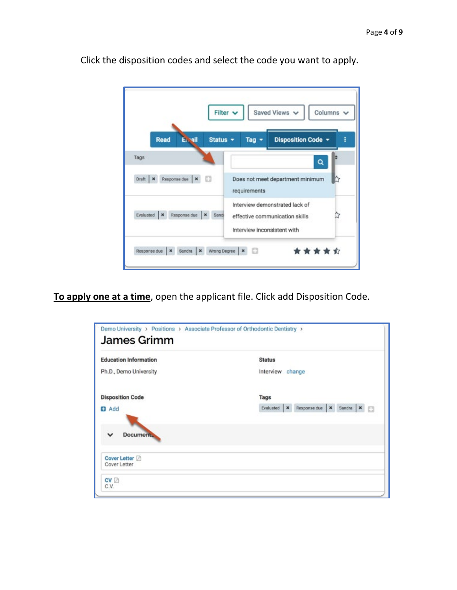

Click the disposition codes and select the code you want to apply.

**To apply one at a time**, open the applicant file. Click add Disposition Code.

| <b>Education Information</b> | <b>Status</b>                                                  |
|------------------------------|----------------------------------------------------------------|
| Ph.D., Demo University       | Interview change                                               |
| <b>Disposition Code</b>      | Tags                                                           |
| <b>D</b> Add                 | Response due   x Sandra   x    <br>Evaluated<br>$\pmb{\times}$ |
| <b>Document</b><br>v         |                                                                |
|                              |                                                                |
|                              |                                                                |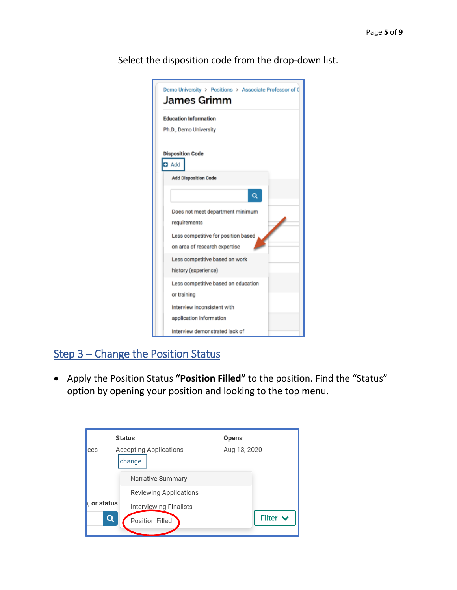| Demo University > Positions > Associate Professor of Q<br>James Grimm |
|-----------------------------------------------------------------------|
| <b>Education Information</b>                                          |
| Ph.D., Demo University                                                |
| <b>Disposition Code</b><br>$\blacksquare$ Add                         |
| <b>Add Disposition Code</b>                                           |
|                                                                       |
| Does not meet department minimum                                      |
| requirements                                                          |
| Less competitive for position based                                   |
| on area of research expertise                                         |
| Less competitive based on work                                        |
| history (experience)                                                  |
| Less competitive based on education                                   |
| or training                                                           |
| Interview inconsistent with                                           |
| application information                                               |
| Interview demonstrated lack of                                        |

Select the disposition code from the drop-down list.

## Step 3 – Change the Position Status

• Apply the Position Status **"Position Filled"** to the position. Find the "Status" option by opening your position and looking to the top menu.

|           | <b>Status</b>                           | <b>Opens</b>  |
|-----------|-----------------------------------------|---------------|
| ces       | <b>Accepting Applications</b><br>change | Aug 13, 2020  |
|           | Narrative Summary                       |               |
|           | <b>Reviewing Applications</b>           |               |
| or status | Interviewing Finalists                  |               |
| Q         | Position Filled                         | Filter $\vee$ |
|           |                                         |               |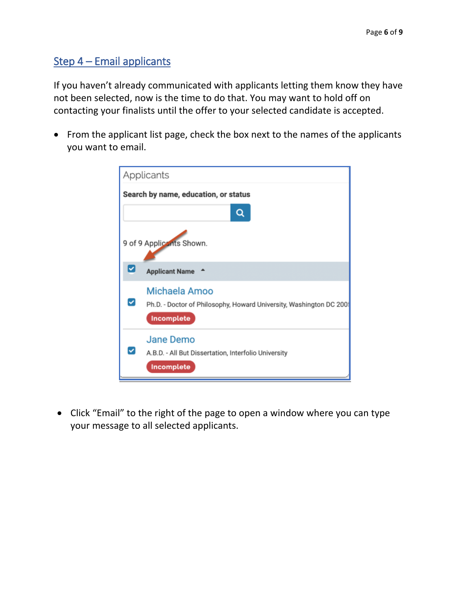### Step 4 – Email applicants

If you haven't already communicated with applicants letting them know they have not been selected, now is the time to do that. You may want to hold off on contacting your finalists until the offer to your selected candidate is accepted.

• From the applicant list page, check the box next to the names of the applicants you want to email.



• Click "Email" to the right of the page to open a window where you can type your message to all selected applicants.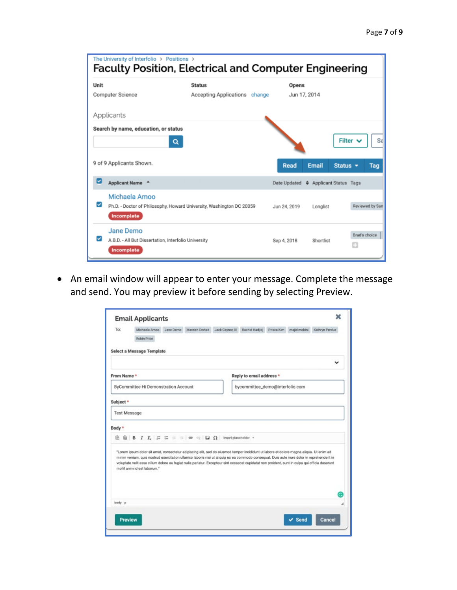| The University of Interfolio > Positions ><br><b>Faculty Position, Electrical and Computer Engineering</b> |                                                                                                     |                                                |  |                                      |              |               |                    |              |
|------------------------------------------------------------------------------------------------------------|-----------------------------------------------------------------------------------------------------|------------------------------------------------|--|--------------------------------------|--------------|---------------|--------------------|--------------|
| Unit                                                                                                       | Computer Science                                                                                    | <b>Status</b><br>Accepting Applications change |  | Opens                                | Jun 17, 2014 |               |                    |              |
|                                                                                                            | Applicants                                                                                          |                                                |  |                                      |              |               |                    |              |
|                                                                                                            | Search by name, education, or status<br>Q                                                           |                                                |  |                                      |              |               | Filter $\vee$      | $S_{\delta}$ |
|                                                                                                            | 9 of 9 Applicants Shown.                                                                            |                                                |  | <b>Read</b>                          | Email        | Status $\sim$ |                    | Tag          |
| ☑                                                                                                          | Applicant Name <sup>A</sup>                                                                         |                                                |  | Date Updated ♦ Applicant Status Tags |              |               |                    |              |
|                                                                                                            | Michaela Amoo<br>Ph.D. - Doctor of Philosophy, Howard University, Washington DC 20059<br>Incomplete |                                                |  | Jun 24, 2019                         | Longlist     |               | Reviewed by San    |              |
|                                                                                                            | Jane Demo<br>A.B.D. - All But Dissertation, Interfolio University<br>Incomplete                     |                                                |  | Sep 4, 2018                          | Shortlist    |               | Brad's choice<br>o |              |

• An email window will appear to enter your message. Complete the message and send. You may preview it before sending by selecting Preview.

| To:                 | <b>Email Applicants</b><br>Michaela Amoo<br>Robin Price                                                                                                                                                                                                                                                                                                                                                                                                                  | Jane Demo | Marzieh Ershad  | Jack Gaynor, III     | Rachid Hadjidj                  | Prisca Kim | majid mobini      | Kathryn Perdue |
|---------------------|--------------------------------------------------------------------------------------------------------------------------------------------------------------------------------------------------------------------------------------------------------------------------------------------------------------------------------------------------------------------------------------------------------------------------------------------------------------------------|-----------|-----------------|----------------------|---------------------------------|------------|-------------------|----------------|
|                     | <b>Select a Message Template</b>                                                                                                                                                                                                                                                                                                                                                                                                                                         |           |                 |                      |                                 |            |                   |                |
| From Name*          |                                                                                                                                                                                                                                                                                                                                                                                                                                                                          |           |                 |                      | Reply to email address *        |            |                   |                |
|                     | ByCommittee Hi Demonstration Account                                                                                                                                                                                                                                                                                                                                                                                                                                     |           |                 |                      | bycommittee_demo@interfolio.com |            |                   |                |
| Subject *           |                                                                                                                                                                                                                                                                                                                                                                                                                                                                          |           |                 |                      |                                 |            |                   |                |
| <b>Test Message</b> |                                                                                                                                                                                                                                                                                                                                                                                                                                                                          |           |                 |                      |                                 |            |                   |                |
| Body *              |                                                                                                                                                                                                                                                                                                                                                                                                                                                                          |           |                 |                      |                                 |            |                   |                |
| 临                   |                                                                                                                                                                                                                                                                                                                                                                                                                                                                          |           | $\Box$ $\Omega$ | Insert placeholder = |                                 |            |                   |                |
|                     | "Lorem ipsum dolor sit amet, consectetur adipiscing elit, sed do eiusmod tempor incididunt ut labore et dolore magna aliqua. Ut enim ad<br>minim veniam, quis nostrud exercitation ullamco laboris nisi ut aliquip ex ea commodo consequat. Duis aute irure dolor in reprehenderit in<br>voluptate velit esse cilium dolore eu fugiat nulla pariatur. Excepteur sint occaecat cupidatat non proident, sunt in culpa qui officia deserunt<br>mollit anim id est laborum." |           |                 |                      |                                 |            |                   |                |
| body p              |                                                                                                                                                                                                                                                                                                                                                                                                                                                                          |           |                 |                      |                                 |            |                   |                |
| Preview             |                                                                                                                                                                                                                                                                                                                                                                                                                                                                          |           |                 |                      |                                 |            | $\checkmark$ Send | Cancel         |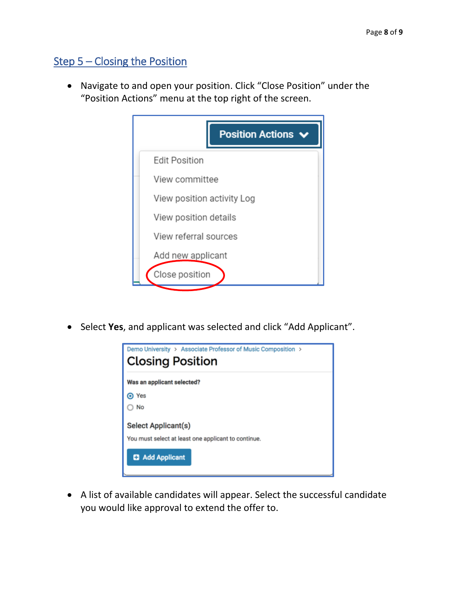## Step 5 – Closing the Position

• Navigate to and open your position. Click "Close Position" under the "Position Actions" menu at the top right of the screen.



• Select **Yes**, and applicant was selected and click "Add Applicant".



• A list of available candidates will appear. Select the successful candidate you would like approval to extend the offer to.